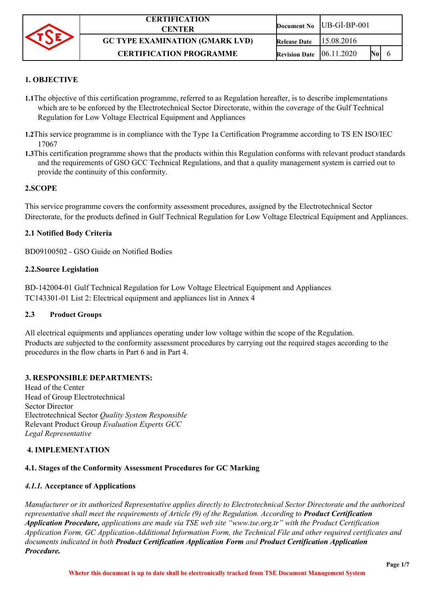

### **1. OBJECTIVE**

- **1.1**The objective of this certification programme, referred to as Regulation hereafter, is to describe implementations which are to be enforced by the Electrotechnical Sector Directorate, within the coverage of the Gulf Technical Regulation for Low Voltage Electrical Equipment and Appliances
- **1.2**This service programme is in compliance with the Type 1a Certification Programme according to TS EN ISO/IEC 17067
- **1.3**This certification programme shows that the products within this Regulation conforms with relevant product standards and the requirements of GSO GCC Technical Regulations, and that a quality management system is carried out to provide the continuity of this conformity.

#### **2.SCOPE**

This service programme covers the conformity assessment procedures, assigned by the Electrotechnical Sector Directorate, for the products defined in Gulf Technical Regulation for Low Voltage Electrical Equipment and Appliances.

#### **2.1 Notified Body Criteria**

BD09100502 - [GSO Guide on Notified Bodies](http://www.gso.org.sa/gso-website/gso-website/activities/conformity/technical-regulations-and-guides/guide-on-notified-bodies.pdf)

#### **2.2.Source Legislation**

BD-142004-01 Gulf Technical Regulation for Low Voltage Electrical Equipment and Appliances TC143301-01 List 2: Electrical equipment and appliances list in Annex 4

#### **2.3 Product Groups**

All electrical equipments and appliances operating under low voltage within the scope of the Regulation. Products are subjected to the conformity assessment procedures by carrying out the required stages according to the procedures in the flow charts in Part 6 and in Part 4.

#### **3. RESPONSIBLE DEPARTMENTS:**

Head of the Center Head of Group Electrotechnical Sector Director Electrotechnical Sector *Quality System Responsible* Relevant Product Group *Evaluation Experts GCC Legal Representative*

#### **4. IMPLEMENTATION**

# **4.1. Stages of the Conformity Assessment Procedures for GC Marking**

# *4.1.1.* **Acceptance of Applications**

*Manufacturer or its authorized Representative applies directly to Electrotechnical Sector Directorate and the authorized representative shall meet the requirements of Article (9) of the Regulation. According to Product Certification Application Procedure, applications are made via TSE web site ["www.tse.org.tr" w](http://www.tse.org.tr/)ith the Product Certification Application Form, GC Application-Additional Information Form, the Technical File and other required certificates and documents indicated in both Product Certification Application Form and Product Certification Application Procedure.*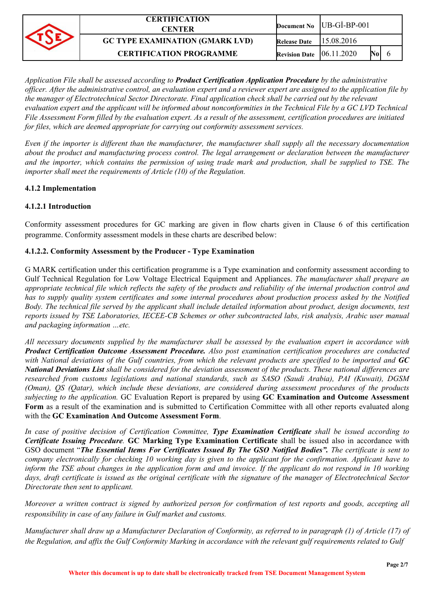| <b>CERTIFICATION</b><br>CENTER         |                                    | Document No $ UB-GI-BP-001$ |  |  |
|----------------------------------------|------------------------------------|-----------------------------|--|--|
| <b>GC TYPE EXAMINATION (GMARK LVD)</b> | <b>Release Date</b>                | 15.08.2016                  |  |  |
| <b>CERTIFICATION PROGRAMME</b>         | <b>Revision Date</b> $ 06.11.2020$ |                             |  |  |

*Application File shall be assessed according to Product Certification Application Procedure by the administrative officer. After the administrative control, an evaluation expert and a reviewer expert are assigned to the application file by the manager of Electrotechnical Sector Directorate. Final application check shall be carried out by the relevant evaluation expert and the applicant will be informed about nonconformities in the Technical File by a GC LVD Technical File Assessment Form filled by the evaluation expert. As a result of the assessment, certification procedures are initiated for files, which are deemed appropriate for carrying out conformity assessment services.*

*Even if the importer is different than the manufacturer, the manufacturer shall supply all the necessary documentation about the product and manufacturing process control. The legal arrangement or declaration between the manufacturer and the importer, which contains the permission of using trade mark and production, shall be supplied to TSE. The importer shall meet the requirements of Article (10) of the Regulation.*

### **4.1.2 Implementation**

### **4.1.2.1 Introduction**

Conformity assessment procedures for GC marking are given in flow charts given in Clause 6 of this certification programme. Conformity assessment models in these charts are described below:

### **4.1.2.2. Conformity Assessment by the Producer - Type Examination**

G MARK certification under this certification programme is a Type examination and conformity assessment according to Gulf Technical Regulation for Low Voltage Electrical Equipment and Appliances. *The manufacturer shall prepare an appropriate technical file which reflects the safety of the products and reliability of the internal production control and has to supply quality system certificates and some internal procedures about production process asked by the Notified Body. The technical file served by the applicant shall include detailed information about product, design documents, test reports issued by TSE Laboratories, IECEE-CB Schemes or other subcontracted labs, risk analysis, Arabic user manual and packaging information …etc.*

*All necessary documents supplied by the manufacturer shall be assessed by the evaluation expert in accordance with Product Certification Outcome Assessment Procedure. Also post examination certification procedures are conducted with National deviations of the Gulf countries, from which the relevant products are specified to be imported and GC National Deviations List shall be considered for the deviation assessment of the products. These national differences are researched from customs legislations and national standards, such as SASO (Saudi Arabia), PAI (Kuwait), DGSM (Oman), QS (Qatar), which include these deviations, are considered during assessment procedures of the products subjecting to the application.* GC Evaluation Report is prepared by using **GC Examination and Outcome Assessment Form** as a result of the examination and is submitted to Certification Committee with all other reports evaluated along with the **GC Examination And Outcome Assessment Form**.

*In case of positive decision of Certification Committee, Type Examination Certificate shall be issued according to Certificate Issuing Procedure.* **GC Marking Type Examination Certificate** shall be issued also in accordance with GSO document "*The Essential Items For Certificates Issued By The GSO Notified Bodies". The certificate is sent to company electronically for checking 10 working day is given to the applicant for the confirmation. Applicant have to*  inform the TSE about changes in the application form and and invoice. If the applicant do not respond in 10 working *days, draft certificate is issued as the original certificate with the signature of the manager of Electrotechnical Sector Directorate then sent to applicant.*

*Moreover a written contract is signed by authorized person for confirmation of test reports and goods, accepting all responsibility in case of any failure in Gulf market and customs.*

*Manufacturer shall draw up a Manufacturer Declaration of Conformity, as referred to in paragraph (1) of Article (17) of the Regulation, and affix the Gulf Conformity Marking in accordance with the relevant gulf requirements related to Gulf*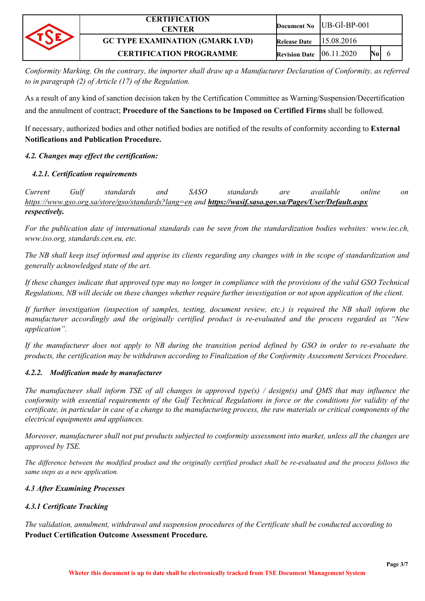| <b>CERTIFICATION</b><br>CENTER         |                                    | Document No $ UB-GI-BP-001$ |  |
|----------------------------------------|------------------------------------|-----------------------------|--|
| <b>GC TYPE EXAMINATION (GMARK LVD)</b> | Release Date                       | 115.08.2016                 |  |
| <b>CERTIFICATION PROGRAMME</b>         | <b>Revision Date</b> $ 06.11.2020$ | N0                          |  |

*Conformity Marking. On the contrary, the importer shall draw up a Manufacturer Declaration of Conformity, as referred to in paragraph (2) of Article (17) of the Regulation.*

As a result of any kind of sanction decision taken by the Certification Committee as Warning/Suspension/Decertification and the annulment of contract; **Procedure of the Sanctions to be Imposed on Certified Firms** shall be followed.

If necessary, authorized bodies and other notified bodies are notified of the results of conformity according to **External Notifications and Publication Procedure.**

## *4.2. Changes may effect the certification:*

## *4.2.1. Certification requirements*

*Current Gulf standards and SASO standards are available online on <https://www.gso.org.sa/store/gso/standards?lang=en>and <https://wasif.saso.gov.sa/Pages/User/Default.aspx> respectively.*

*For the publication date of international standards can be seen from the standardization bodies websites: [www.iec.ch,](http://www.iec.ch/)  [www.iso.org,](http://www.iso.org/) standards.cen.eu, etc.*

*The NB shall keep itsef informed and apprise its clients regarding any changes with in the scope of standardization and generally acknowledged state of the art.*

*If these changes indicate that approved type may no longer in compliance with the provisions of the valid GSO Technical Regulations, NB will decide on these changes whether require further investigation or not upon application of the client.*

If further investigation (inspection of samples, testing, document review, etc.) is required the NB shall inform the *manufacturer accordingly and the originally certified product is re-evaluated and the process regarded as "New application".*

*If the manufacturer does not apply to NB during the transition period defined by GSO in order to re-evaluate the products, the certification may be withdrawn according to Finalization of the Conformity Assessment Services Procedure.*

### *4.2.2. Modification made by manufacturer*

*The manufacturer shall inform TSE of all changes in approved type(s) / design(s) and QMS that may influence the conformity with essential requirements of the Gulf Technical Regulations in force or the conditions for validity of the certificate, in particular in case of a change to the manufacturing process, the raw materials or critical components of the electrical equipments and appliances.*

*Moreover, manufacturer shall not put products subjected to conformity assessment into market, unless all the changes are approved by TSE.*

*The difference between the modified product and the originally certified product shall be re-evaluated and the process follows the same steps as a new application.*

### *4.3 After Examining Processes*

# *4.3.1 Certificate Tracking*

*The validation, annulment, withdrawal and suspension procedures of the Certificate shall be conducted according to*  **Product Certification Outcome Assessment Procedure***.*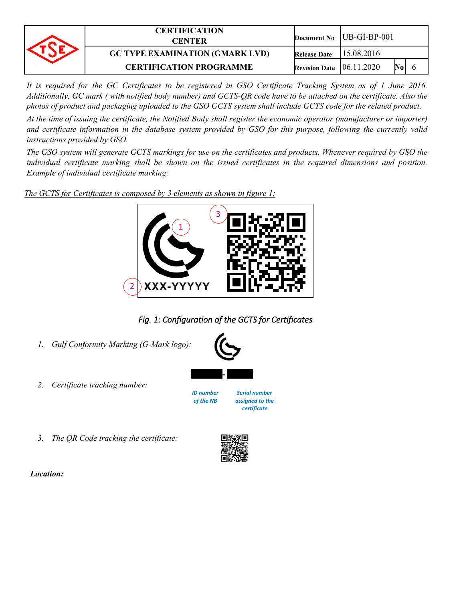| <b>CERTIFICATION</b><br><b>CENTER</b>  |                                    | Document No $ UB-GI-BP-001$ |  |
|----------------------------------------|------------------------------------|-----------------------------|--|
| <b>GC TYPE EXAMINATION (GMARK LVD)</b> | Release Date                       | 15.08.2016                  |  |
| <b>CERTIFICATION PROGRAMME</b>         | <b>Revision Date</b> $ 06.11.2020$ |                             |  |

It is required for the GC Certificates to be registered in GSO Certificate Tracking System as of 1 June 2016. *Additionally, GC mark ( with notified body number) and GCTS-QR code have to be attached on the certificate. Also the photos of product and packaging uploaded to the GSO GCTS system shall include GCTS code for the related product.*

*At the time of issuing the certificate, the Notified Body shall register the economic operator (manufacturer or importer) and certificate information in the database system provided by GSO for this purpose, following the currently valid instructions provided by GSO.*

*The GSO system will generate GCTS markings for use on the certificates and products. Whenever required by GSO the*  individual certificate marking shall be shown on the issued certificates in the required dimensions and position. *Example of individual certificate marking:*

*The GCTS for Certificates is composed by 3 elements as shown in figure 1:*



*Fig. 1: Configuration of the GCTS for Certificates*

- *1. Gulf Conformity Marking (G-Mark logo):*
- *2. Certificate tracking number:*



*XXX - YYYYY*

*ID number Serial number of the NB assigned to the certificate*

*3. The QR Code tracking the certificate:*



 *Location:*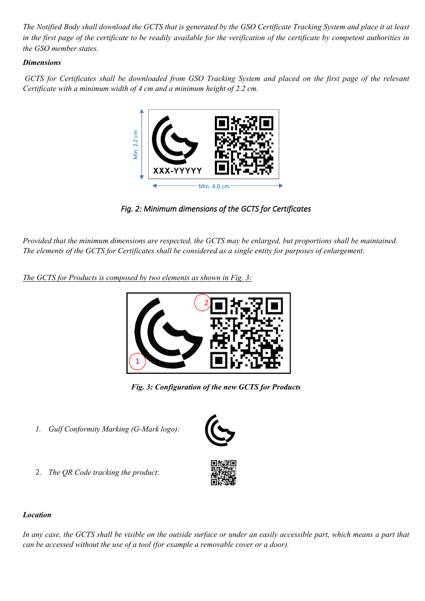*The Notified Body shall download the GCTS that is generated by the GSO Certificate Tracking System and place it at least in the first page of the certificate to be readily available for the verification of the certificate by competent authorities in the GSO member states.*

## *Dimensions*

 *GCTS for Certificates shall be downloaded from GSO Tracking System and placed on the first page of the relevant Certificate with a minimum width of 4 cm and a minimum height of 2.2 cm.*



*Fig. 2: Minimum dimensions of the GCTS for Certificates*

*Provided that the minimum dimensions are respected, the GCTS may be enlarged, but proportions shall be maintained. The elements of the GCTS for Certificates shall be considered as a single entity for purposes of enlargement.*

*The GCTS for Products is composed by two elements as shown in Fig. 3:*



*Fig. 3: Configuration of the new GCTS for Products*

- *1. Gulf Conformity Marking (G-Mark logo):*
- 2. *The QR Code tracking the product*:



*In any case, the GCTS shall be visible on the outside surface or under an easily accessible part, which means a part that can be accessed without the use of a tool (for example a removable cover or a door).*



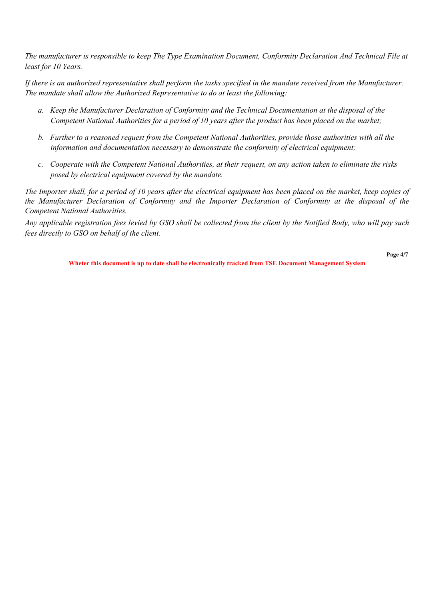*The manufacturer is responsible to keep The Type Examination Document, Conformity Declaration And Technical File at least for 10 Years.*

*If there is an authorized representative shall perform the tasks specified in the mandate received from the Manufacturer. The mandate shall allow the Authorized Representative to do at least the following:*

- *a. Keep the Manufacturer Declaration of Conformity and the Technical Documentation at the disposal of the Competent National Authorities for a period of 10 years after the product has been placed on the market;*
- *b. Further to a reasoned request from the Competent National Authorities, provide those authorities with all the information and documentation necessary to demonstrate the conformity of electrical equipment;*
- *c. Cooperate with the Competent National Authorities, at their request, on any action taken to eliminate the risks posed by electrical equipment covered by the mandate.*

*The Importer shall, for a period of 10 years after the electrical equipment has been placed on the market, keep copies of the Manufacturer Declaration of Conformity and the Importer Declaration of Conformity at the disposal of the Competent National Authorities.*

*Any applicable registration fees levied by GSO shall be collected from the client by the Notified Body, who will pay such fees directly to GSO on behalf of the client.*

**Page 4/7**

**Wheter this document is up to date shall be electronically tracked from TSE Document Management System**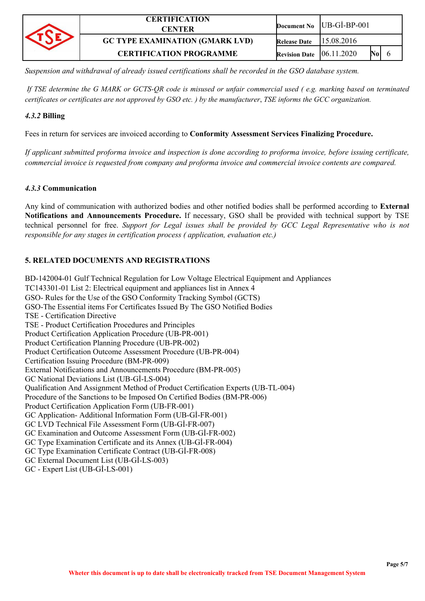| <b>CERTIFICATION</b><br>CENTER         |                                    | Document No $ UB-GI-BP-001$ |     |
|----------------------------------------|------------------------------------|-----------------------------|-----|
| <b>GC TYPE EXAMINATION (GMARK LVD)</b> | <b>Release Date</b>                | 15.08.2016                  |     |
| <b>CERTIFICATION PROGRAMME</b>         | <b>Revision Date</b> $ 06.11.2020$ |                             | Nol |

*Suspension and withdrawal of already issued certifications shall be recorded in the GSO database system.*

*If TSE determine the G MARK or GCTS-QR code is misused or unfair commercial used ( e.g. marking based on terminated certificates or certificates are not approved by GSO etc. ) by the manufacturer*, *TSE informs the GCC organization.*

### *4.3.2* **Billing**

Fees in return for services are invoiced according to **Conformity Assessment Services Finalizing Procedure.**

*If applicant submitted proforma invoice and inspection is done according to proforma invoice, before issuing certificate, commercial invoice is requested from company and proforma invoice and commercial invoice contents are compared.*

### *4.3.3* **Communication**

Any kind of communication with authorized bodies and other notified bodies shall be performed according to **External Notifications and Announcements Procedure.** If necessary, GSO shall be provided with technical support by TSE technical personnel for free. *Support for Legal issues shall be provided by GCC Legal Representative who is not responsible for any stages in certification process ( application, evaluation etc.)*

## **5. RELATED DOCUMENTS AND REGISTRATIONS**

BD-142004-01 Gulf Technical Regulation for Low Voltage Electrical Equipment and Appliances TC143301-01 List 2: Electrical equipment and appliances list in Annex 4 GSO- Rules for the Use of the GSO Conformity Tracking Symbol (GCTS) GSO-The Essential items For Certificates Issued By The GSO Notified Bodies [TSE - C](http://qdms.tse.org.tr/QDMS/QDMSNET/Document/DokumanGoruntuleme.aspx?ROWINDEX=-1&PAGEINDEX=0&kod=TSE+-+Y%C3%B6nerge+(002)&revNo=0&Criteria=lgTnTxmwatlJ4gRc3hSKFPh$$$1ZHrDI7Cyebmj8XpLCkIAU8Q$$$8fl9%C3%9F%C3%9F%C3%9FTLunUbfzGYk870QKduKXURyJONAtIOOIbmGRHwk9xD08YjMp5srs%C3%9F%C3%9F%C3%9FafhnwMmqeFS3RMIa5lSM20CWSaipRX20vZfO$$$TImCx0DCSZU8eW7yOQ$$$XI9lvZ3g%C3%9F%C3%9F%C3%9FgyOb5t3D5ACWixmk%C3%9F%C3%9F%C3%9F2rj10ieiBDImpmG5hkR8JPcQ%C3%9F%C3%9F%C3%9FOAaGjCe1ur5Mu6dRt$$$MZiTzvRAp24pddZg37ihffWF)ertification Directive TSE - Product Certification Procedures and Principles Product Certification Application Procedure [\(UB-PR-001\)](http://qdms.tse.org.tr/QDMS/QDMSNET/Document/DokumanGoruntuleme.aspx?ROWINDEX=0&PAGEINDEX=0&kod=UB-PR-001&revNo=18&Criteria=K0CJEsY33CNvo$$$3OPCXaxjfAKRECjuHM) Product Certification Planning Procedure [\(UB-PR-002\)](http://qdms.tse.org.tr/QDMS/QDMSNET/Document/DokumanGoruntuleme.aspx?ROWINDEX=0&PAGEINDEX=0&kod=UB-PR-001&revNo=18&Criteria=K0CJEsY33CNvo$$$3OPCXaxjfAKRECjuHM) Product Certification Outcome Assessment Procedure [\(UB-PR-004\)](http://qdms.tse.org.tr/QDMS/QDMSNET/Document/DokumanGoruntuleme.aspx?ROWINDEX=0&PAGEINDEX=0&kod=UB-PR-001&revNo=18&Criteria=K0CJEsY33CNvo$$$3OPCXaxjfAKRECjuHM) Certification Issuing Procedure [\(BM-PR-009\)](http://qdms.tse.org.tr/QDMS/QDMSNET/Document/DokumanGoruntuleme.aspx?ROWINDEX=0&PAGEINDEX=0&kod=UB-PR-001&revNo=18&Criteria=K0CJEsY33CNvo$$$3OPCXaxjfAKRECjuHM) External Notifications and Announcements Procedure [\(BM-PR-005\)](http://qdms.tse.org.tr/QDMS/QDMSNET/Document/DokumanGoruntuleme.aspx?ROWINDEX=0&PAGEINDEX=0&kod=UB-PR-001&revNo=18&Criteria=K0CJEsY33CNvo$$$3OPCXaxjfAKRECjuHM) GC National Deviations List ([UB-Gİ-LS-004](http://qdms.tse.org.tr/QDMS/QDMSNET/Document/DokumanGoruntuleme.aspx?ROWINDEX=0&PAGEINDEX=0&kod=UB-G%C4%B0-LS-004&revNo=1&Criteria=K0CJEsY33COLh1Vd6akfozfAKRECjuHM)) Qualification And Assignment Method of Product Certification Experts (UB-TL-004) Procedure of the Sanctions to be Imposed On Certified Bodies [\(BM-PR-006\)](http://qdms.tse.org.tr/QDMS/QDMSNET/Document/DokumanGoruntuleme.aspx?ROWINDEX=0&PAGEINDEX=0&kod=UB-PR-001&revNo=18&Criteria=K0CJEsY33CNvo$$$3OPCXaxjfAKRECjuHM) Product Certification Application Form (UB-FR-001) GC Application- Additional Information Form ([UB-Gİ-FR-001](http://qdms.tse.org.tr/QDMS/QDMSNET/Document/DokumanGoruntuleme.aspx?ROWINDEX=3&PAGEINDEX=0&kod=UB-G%C4%B0-FR-001&revNo=1&Criteria=K0CJEsY33CPBhSS%C3%9F%C3%9F%C3%9F%C3%9F%C3%9F%C3%9FbK3zzfAKRECjuHM)) GC LVD Technical File Assessment Form (UB-Gİ-FR-007) GC Examination and Outcome Assessment Form ([UB-Gİ-FR-002](http://qdms.tse.org.tr/QDMS/QDMSNET/Document/DokumanGoruntuleme.aspx?ROWINDEX=3&PAGEINDEX=0&kod=UB-G%C4%B0-FR-002&revNo=0&Criteria=K0CJEsY33CPBhSS%C3%9F%C3%9F%C3%9F%C3%9F%C3%9F%C3%9FbK3zzfAKRECjuHM)) GC Type Examination Certificate and its Annex (UB-Gİ-FR-004) GC Type Examination Certificate Contract (UB-Gİ-FR-008) GC External Document List (UB-Gİ-LS-003) GC - Expert List (UB-Gİ-LS-001)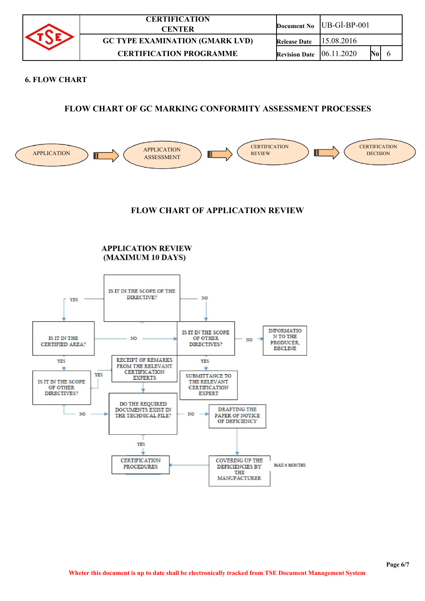| <b>CERTIFICATION</b><br>CENTER         |                      | Document No $ UB-GI-BP-001 $ |  |
|----------------------------------------|----------------------|------------------------------|--|
| <b>GC TYPE EXAMINATION (GMARK LVD)</b> | <b>Release Date</b>  | 115.08.2016                  |  |
| <b>CERTIFICATION PROGRAMME</b>         | <b>Revision Date</b> | Nol<br>[06.11.2020]          |  |

#### **6. FLOW CHART**

# **FLOW CHART OF GC MARKING CONFORMITY ASSESSMENT PROCESSES**



# **FLOW CHART OF APPLICATION REVIEW**

**APPLICATION REVIEW** (MAXIMUM 10 DAYS)